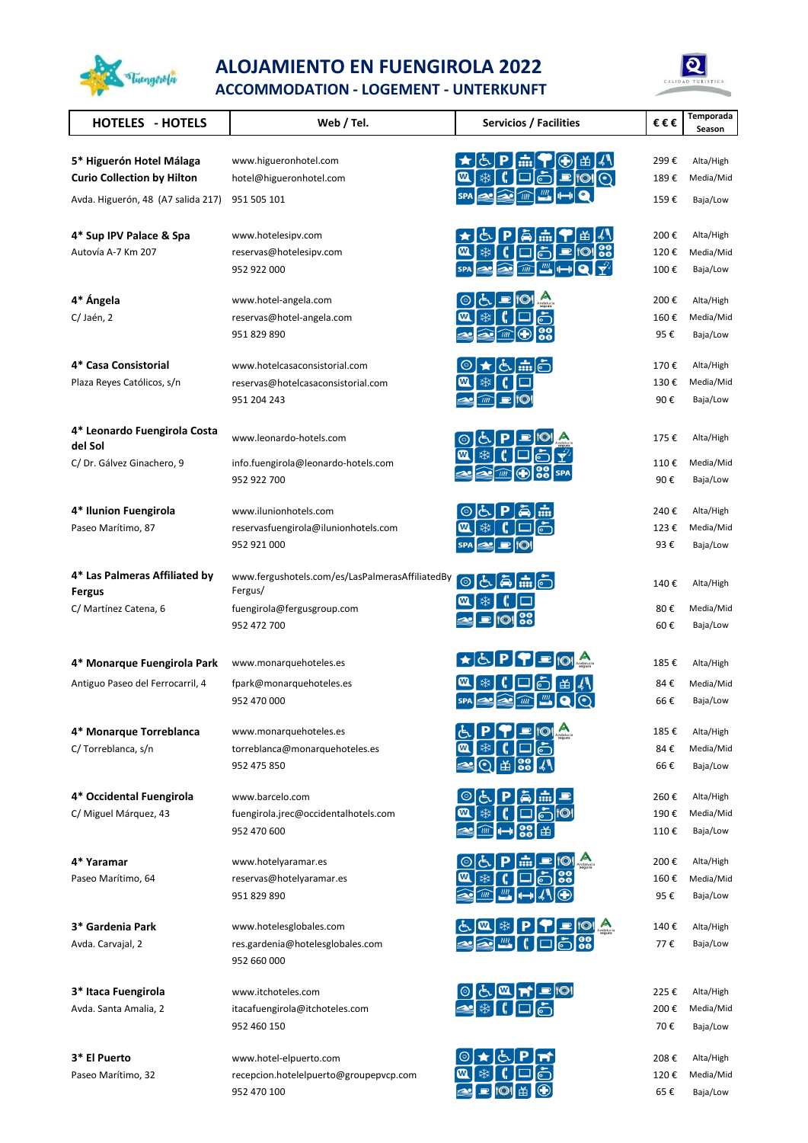

## **ALOJAMIENTO EN FUENGIROLA 2022**



**ACCOMMODATION - LOGEMENT - UNTERKUNFT**

| <b>HOTELES - HOTELS</b>                     | Web / Tel.                                         | Servicios / Facilities                                                                                                                                                                                                                                                                                                                              | €€€         | Temporada<br>Season   |
|---------------------------------------------|----------------------------------------------------|-----------------------------------------------------------------------------------------------------------------------------------------------------------------------------------------------------------------------------------------------------------------------------------------------------------------------------------------------------|-------------|-----------------------|
|                                             |                                                    |                                                                                                                                                                                                                                                                                                                                                     |             |                       |
| 5* Higuerón Hotel Málaga                    | www.higueronhotel.com                              | ا بڻ ا<br><b>当Ⅰ</b><br>$\overline{}$                                                                                                                                                                                                                                                                                                                | 299€        | Alta/High             |
| <b>Curio Collection by Hilton</b>           | hotel@higueronhotel.com                            | ₩<br>P 101 O                                                                                                                                                                                                                                                                                                                                        | 189€        | Media/Mid             |
| Avda. Higuerón, 48 (A7 salida 217)          | 951 505 101                                        | $\widehat{u}$                                                                                                                                                                                                                                                                                                                                       | 159€        | Baja/Low              |
| 4* Sup IPV Palace & Spa                     | www.hotelesipv.com                                 | 曲<br>8888                                                                                                                                                                                                                                                                                                                                           | 200€        | Alta/High             |
| Autovía A-7 Km 207                          | reservas@hotelesipv.com                            | ӝ                                                                                                                                                                                                                                                                                                                                                   | 120€        | Media/Mid             |
|                                             | 952 922 000                                        | $\mathfrak{m}$<br>$\widehat{u}$                                                                                                                                                                                                                                                                                                                     | 100€        | Baja/Low              |
| 4* Ángela                                   | www.hotel-angela.com                               |                                                                                                                                                                                                                                                                                                                                                     | 200€        | Alta/High             |
| C/Jaén, 2                                   | reservas@hotel-angela.com                          | ӝ                                                                                                                                                                                                                                                                                                                                                   | 160€        | Media/Mid             |
|                                             | 951 829 890                                        | m                                                                                                                                                                                                                                                                                                                                                   | 95€         | Baja/Low              |
| 4* Casa Consistorial                        | www.hotelcasaconsistorial.com                      | $\frac{1}{1111}$                                                                                                                                                                                                                                                                                                                                    | 170€        | Alta/High             |
| Plaza Reyes Católicos, s/n                  | reservas@hotelcasaconsistorial.com                 | ӝ                                                                                                                                                                                                                                                                                                                                                   | 130€        | Media/Mid             |
|                                             | 951 204 243                                        |                                                                                                                                                                                                                                                                                                                                                     | 90€         | Baja/Low              |
| 4* Leonardo Fuengirola Costa                | www.leonardo-hotels.com                            | ⊙                                                                                                                                                                                                                                                                                                                                                   | 175€        | Alta/High             |
| del Sol                                     |                                                    | ₩<br>$\boldsymbol{\mathrm{w}}$                                                                                                                                                                                                                                                                                                                      |             |                       |
| C/Dr. Gálvez Ginachero, 9                   | info.fuengirola@leonardo-hotels.com<br>952 922 700 | $\bigoplus$<br>mì                                                                                                                                                                                                                                                                                                                                   | 110€<br>90€ | Media/Mid<br>Baja/Low |
|                                             | www.ilunionhotels.com                              |                                                                                                                                                                                                                                                                                                                                                     | 240€        | Alta/High             |
| 4* Ilunion Fuengirola<br>Paseo Marítimo, 87 | reservasfuengirola@ilunionhotels.com               | 心<br>8888<br>യ<br>ӝ                                                                                                                                                                                                                                                                                                                                 | 123€        | Media/Mid             |
|                                             | 952 921 000                                        | <b>SPA</b>                                                                                                                                                                                                                                                                                                                                          | 93€         | Baja/Low              |
| 4* Las Palmeras Affiliated by               | www.fergushotels.com/es/LasPalmerasAffiliatedBy    |                                                                                                                                                                                                                                                                                                                                                     |             |                       |
| <b>Fergus</b>                               | Fergus/                                            |                                                                                                                                                                                                                                                                                                                                                     | 140€        | Alta/High             |
| C/ Martínez Catena, 6                       | fuengirola@fergusgroup.com                         | ₩                                                                                                                                                                                                                                                                                                                                                   | 80€         | Media/Mid             |
|                                             | 952 472 700                                        |                                                                                                                                                                                                                                                                                                                                                     | 60€         | Baja/Low              |
| 4* Monarque Fuengirola Park                 | www.monarquehoteles.es                             | $\begin{picture}(180,10) \put(0,0){\line(1,0){10}} \put(10,0){\line(1,0){10}} \put(10,0){\line(1,0){10}} \put(10,0){\line(1,0){10}} \put(10,0){\line(1,0){10}} \put(10,0){\line(1,0){10}} \put(10,0){\line(1,0){10}} \put(10,0){\line(1,0){10}} \put(10,0){\line(1,0){10}} \put(10,0){\line(1,0){10}} \put(10,0){\line(1,0){10}} \put(10,0){\line($ | 185€        | Alta/High             |
| Antiguo Paseo del Ferrocarril, 4            | fpark@monarquehoteles.es                           |                                                                                                                                                                                                                                                                                                                                                     | 84€         | Media/Mid             |
|                                             | 952 470 000                                        |                                                                                                                                                                                                                                                                                                                                                     | 66€         | Baja/Low              |
| 4* Monarque Torreblanca                     | www.monarquehoteles.es                             | යි                                                                                                                                                                                                                                                                                                                                                  | 185€        | Alta/High             |
| C/Torreblanca, s/n                          | torreblanca@monarquehoteles.es                     | W                                                                                                                                                                                                                                                                                                                                                   | 84€         | Media/Mid             |
|                                             | 952 475 850                                        | 00 <br>$\circ$<br>畄                                                                                                                                                                                                                                                                                                                                 | 66€         | Baja/Low              |
| 4* Occidental Fuengirola                    | www.barcelo.com                                    | Ğ                                                                                                                                                                                                                                                                                                                                                   | 260€        | Alta/High             |
| C/ Miguel Márquez, 43                       | fuengirola.jrec@occidentalhotels.com               | ❄                                                                                                                                                                                                                                                                                                                                                   | 190€        | Media/Mid             |
|                                             | 952 470 600                                        | mì                                                                                                                                                                                                                                                                                                                                                  | 110€        | Baja/Low              |
| 4* Yaramar                                  | www.hotelyaramar.es                                | $\overline{\mathbf{m}}$                                                                                                                                                                                                                                                                                                                             | 200€        | Alta/High             |
| Paseo Marítimo, 64                          | reservas@hotelyaramar.es                           | W<br>₩                                                                                                                                                                                                                                                                                                                                              | 160€        | Media/Mid             |
|                                             | 951 829 890                                        | mi                                                                                                                                                                                                                                                                                                                                                  | 95€         | Baja/Low              |
| 3* Gardenia Park                            | www.hotelesglobales.com                            | $E[\mathbf{a}]$                                                                                                                                                                                                                                                                                                                                     | 140€        | Alta/High             |
| Avda. Carvajal, 2                           | res.gardenia@hotelesglobales.com                   | $\frac{uu}{2}$                                                                                                                                                                                                                                                                                                                                      | 77€         | Baja/Low              |
|                                             | 952 660 000                                        |                                                                                                                                                                                                                                                                                                                                                     |             |                       |
| 3* Itaca Fuengirola                         | www.itchoteles.com                                 | ◎ 占┃ซ]★                                                                                                                                                                                                                                                                                                                                             | 225€        | Alta/High             |
| Avda. Santa Amalia, 2                       | itacafuengirola@itchoteles.com                     |                                                                                                                                                                                                                                                                                                                                                     | 200€        | Media/Mid             |
|                                             | 952 460 150                                        |                                                                                                                                                                                                                                                                                                                                                     | 70€         | Baja/Low              |
| 3* El Puerto                                | www.hotel-elpuerto.com                             | O t & P n                                                                                                                                                                                                                                                                                                                                           | 208€        | Alta/High             |

Paseo Marítimo, 32 recepcion.hotelelpuerto@groupepvcp.com  $\alpha$   $\mathbb{R}$   $\mathbb{R}$   $\Box$   $\Box$ recepcion.hotelelpuerto@groupepvcp.com  $\begin{array}{ccc} 0 & \frac{1}{2} & \frac{1}{2} & \frac{1}{2} \\ \hline \end{array}$ <br>
952 470 100 65 € Baja/Low

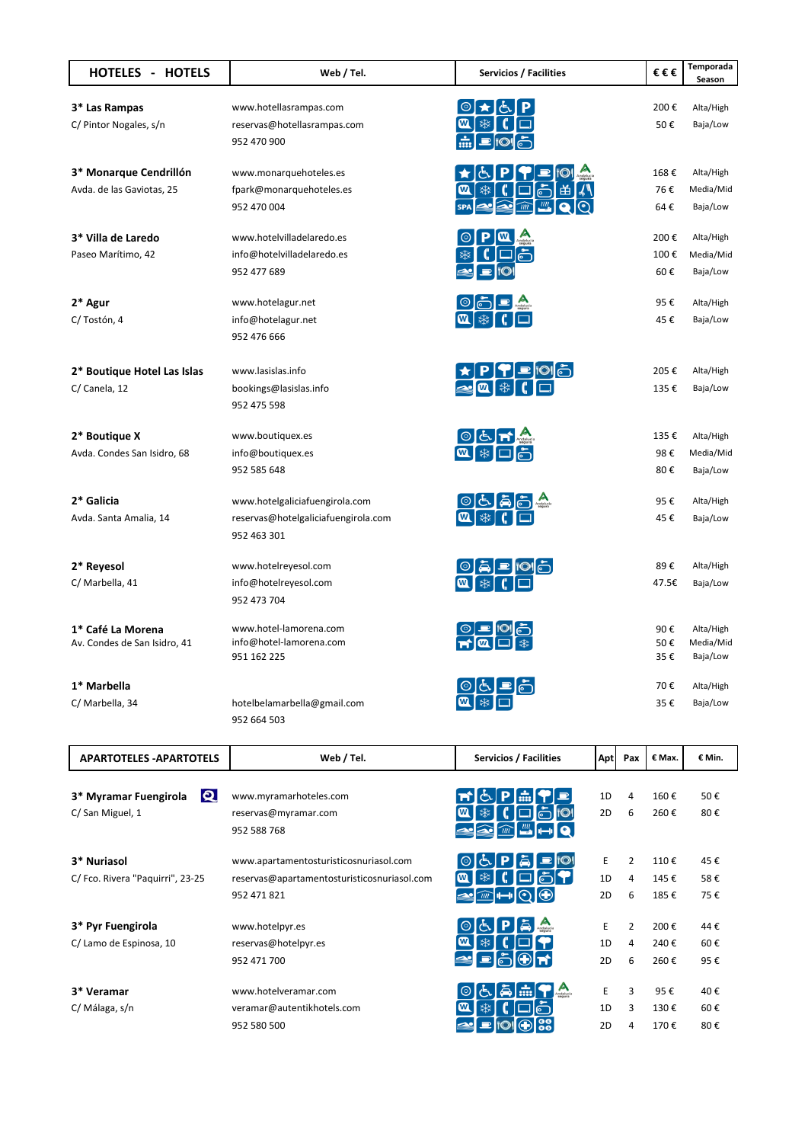| <b>HOTELES - HOTELS</b>                                  | Web / Tel.                                                                                           | Servicios / Facilities                                                    | €€€                                 | Temporada<br>Season                |
|----------------------------------------------------------|------------------------------------------------------------------------------------------------------|---------------------------------------------------------------------------|-------------------------------------|------------------------------------|
| 3* Las Rampas<br>C/ Pintor Nogales, s/n                  | www.hotellasrampas.com<br>reservas@hotellasrampas.com<br>952 470 900                                 | ₩<br>m                                                                    | 200€<br>50€                         | Alta/High<br>Baja/Low              |
| 3* Monarque Cendrillón<br>Avda. de las Gaviotas, 25      | www.monarquehoteles.es<br>fpark@monarquehoteles.es<br>952 470 004                                    | ₩<br>ငံ<br>W<br>$\mathfrak{m}$<br>$\widehat{u}$<br><b>SPA</b>             | 168€<br>76€<br>64€                  | Alta/High<br>Media/Mid<br>Baja/Low |
| 3* Villa de Laredo<br>Paseo Marítimo, 42                 | www.hotelvilladelaredo.es<br>info@hotelvilladelaredo.es<br>952 477 689                               | 1O                                                                        | 200€<br>100€<br>60€                 | Alta/High<br>Media/Mid<br>Baja/Low |
| $2*$ Agur<br>C/Tostón, 4                                 | www.hotelagur.net<br>info@hotelagur.net<br>952 476 666                                               | $\circ$ $\circ$ $\circ$<br>案<br>ซ                                         | 95€<br>45€                          | Alta/High<br>Baja/Low              |
| 2* Boutique Hotel Las Islas<br>C/ Canela, 12             | www.lasislas.info<br>bookings@lasislas.info<br>952 475 598                                           | $\boxed{\mathbf{w}}$                                                      | 205€<br>135€                        | Alta/High<br>Baja/Low              |
| 2* Boutique X<br>Avda. Condes San Isidro, 68             | www.boutiquex.es<br>info@boutiquex.es<br>952 585 648                                                 | OCTY<br>《茶                                                                | 135€<br>98€<br>80€                  | Alta/High<br>Media/Mid<br>Baja/Low |
| 2* Galicia<br>Avda. Santa Amalia, 14                     | www.hotelgaliciafuengirola.com<br>reservas@hotelgaliciafuengirola.com<br>952 463 301                 |                                                                           | 95€<br>45€                          | Alta/High<br>Baja/Low              |
| 2* Reyesol<br>C/ Marbella, 41                            | www.hotelreyesol.com<br>info@hotelreyesol.com<br>952 473 704                                         | $\circ$ a $\circ$ $\circ$                                                 | 89€<br>47.5€                        | Alta/High<br>Baja/Low              |
| 1* Café La Morena<br>Av. Condes de San Isidro, 41        | www.hotel-lamorena.com<br>info@hotel-lamorena.com<br>951 162 225                                     |                                                                           | 90€<br>50€<br>35€                   | Alta/High<br>Media/Mid<br>Baja/Low |
| 1* Marbella<br>C/ Marbella, 34                           | hotelbelamarbella@gmail.com<br>952 664 503                                                           |                                                                           | 70€<br>35€                          | Alta/High<br>Baja/Low              |
| <b>APARTOTELES - APARTOTELS</b>                          | Web / Tel.                                                                                           | Servicios / Facilities<br>Apt                                             | Pax<br>€ Max.                       | € Min.                             |
| $\mathbf Q$<br>3* Myramar Fuengirola<br>C/ San Miguel, 1 | www.myramarhoteles.com<br>reservas@myramar.com<br>952 588 768                                        | 1D<br>$\overline{1222}$<br>₩<br>2D<br>$\overline{u}\overline{u}$          | 4<br>160€<br>6<br>260€              | 50€<br>80€                         |
| 3* Nuriasol<br>C/ Fco. Rivera "Paquirri", 23-25          | www.apartamentosturisticosnuriasol.com<br>reservas@apartamentosturisticosnuriasol.com<br>952 471 821 | E<br>ఘ<br>$\boldsymbol{\omega}$<br>1D<br>ு∣ட<br>IO<br>$\widehat{u}$<br>2D | 2<br>110€<br>4<br>145€<br>185€<br>6 | 45€<br>58€<br>75€                  |
| 3* Pyr Fuengirola<br>C/ Lamo de Espinosa, 10             | www.hotelpyr.es<br>reservas@hotelpyr.es<br>952 471 700                                               | E<br>1D<br>2D                                                             | 2<br>200€<br>240€<br>4<br>6<br>260€ | 44€<br>60€<br>95€                  |
| 3* Veramar<br>C/Málaga, s/n                              | www.hotelveramar.com<br>veramar@autentikhotels.com<br>952 580 500                                    | E<br>1D<br>2D                                                             | 3<br>95€<br>3<br>130€<br>170€<br>4  | 40€<br>60€<br>80€                  |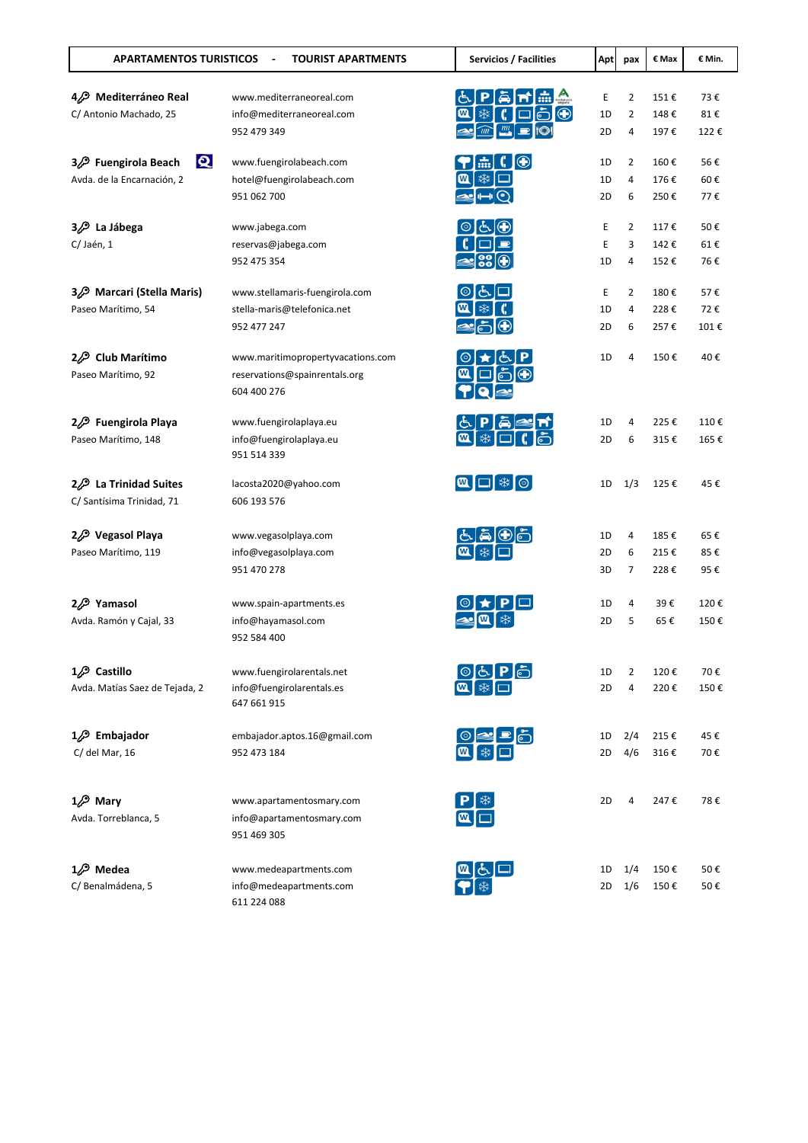| <b>APARTAMENTOS TURISTICOS</b>      | <b>TOURIST APARTMENTS</b><br>$\sim$ | Servicios / Facilities                                               | <b>Apt</b> | pax            | € Max | € Min. |
|-------------------------------------|-------------------------------------|----------------------------------------------------------------------|------------|----------------|-------|--------|
| 4. Mediterráneo Real                | www.mediterraneoreal.com            |                                                                      | Ε          | 2              | 151€  | 73€    |
| C/ Antonio Machado, 25              | info@mediterraneoreal.com           | $\bigcirc$<br>₩<br>W<br>்                                            | 1D         | 2              | 148€  | 81€    |
|                                     | 952 479 349                         | $\frac{nm}{2}$<br>$\widehat{u}$                                      | 2D         | 4              | 197€  | 122€   |
| $\mathbf{Q}$<br>32 Fuengirola Beach | www.fuengirolabeach.com             | $\blacksquare$<br>$\left[\frac{1}{1111}\right]$                      | 1D         | 2              | 160€  | 56€    |
| Avda. de la Encarnación, 2          | hotel@fuengirolabeach.com           | ఘ<br>w۱                                                              | 1D         | 4              | 176€  | 60€    |
|                                     | 951 062 700                         |                                                                      | 2D         | 6              | 250€  | 77€    |
| La Jábega<br>9⁄2.                   | www.jabega.com                      | IGJ                                                                  | Ε          | 2              | 117€  | 50€    |
| C/Jaén, 1                           | reservas@jabega.com                 |                                                                      | Ε          | 3              | 142€  | 61€    |
|                                     | 952 475 354                         | ≃¦88                                                                 | 1D         | 4              | 152€  | 76€    |
| 3. Marcari (Stella Maris)           | www.stellamaris-fuengirola.com      |                                                                      | Ε          | $\overline{2}$ | 180€  | 57€    |
| Paseo Marítimo, 54                  | stella-maris@telefonica.net         |                                                                      | 1D         | 4              | 228€  | 72€    |
|                                     | 952 477 247                         |                                                                      | 2D         | 6              | 257€  | 101€   |
| <b>Club Marítimo</b><br>2/2         | www.maritimopropertyvacations.com   |                                                                      | 1D         | 4              | 150€  | 40€    |
| Paseo Marítimo, 92                  | reservations@spainrentals.org       |                                                                      |            |                |       |        |
|                                     | 604 400 276                         |                                                                      |            |                |       |        |
| 22 Fuengirola Playa                 | www.fuengirolaplaya.eu              |                                                                      | 1D         | 4              | 225€  | 110€   |
| Paseo Marítimo, 148                 | info@fuengirolaplaya.eu             | *                                                                    | 2D         | 6              | 315€  | 165€   |
|                                     | 951 514 339                         |                                                                      |            |                |       |        |
| 22 La Trinidad Suites               | lacosta2020@yahoo.com               | $\boxed{\mathbf{a}}$ $\boxed{\square}$ $\frac{*}{*}$ $\boxed{\circ}$ | 1D         | 1/3            | 125€  | 45€    |
| C/ Santísima Trinidad, 71           | 606 193 576                         |                                                                      |            |                |       |        |
| 2 <sup>2</sup> Vegasol Playa        | www.vegasolplaya.com                | டு                                                                   | 1D         | 4              | 185€  | 65€    |
| Paseo Marítimo, 119                 | info@vegasolplaya.com               |                                                                      | 2D         | 6              | 215€  | 85€    |
|                                     | 951 470 278                         |                                                                      | 3D         | 7              | 228€  | 95€    |
| 2. Yamasol                          | www.spain-apartments.es             |                                                                      | 1D         | 4              | 39€   | 120€   |
| Avda. Ramón y Cajal, 33             | info@hayamasol.com                  |                                                                      | 2D         | 5              | 65€   | 150€   |
|                                     | 952 584 400                         |                                                                      |            |                |       |        |
| $1/2$ Castillo                      | www.fuengirolarentals.net           |                                                                      | 1D         | 2              | 120€  | 70€    |
| Avda. Matías Saez de Tejada, 2      | info@fuengirolarentals.es           |                                                                      | 2D         | 4              | 220€  | 150€   |
|                                     | 647 661 915                         |                                                                      |            |                |       |        |
| $1/2$ Embajador                     | embajador.aptos.16@gmail.com        |                                                                      | 1D         | 2/4            | 215€  | 45€    |
| C/ del Mar, 16                      | 952 473 184                         | 四 举                                                                  | 2D         | 4/6            | 316€  | 70€    |
|                                     |                                     |                                                                      |            |                |       |        |
| $1/2$ Mary                          | www.apartamentosmary.com            |                                                                      | 2D         | 4              | 247€  | 78€    |
| Avda. Torreblanca, 5                | info@apartamentosmary.com           | $\blacksquare$                                                       |            |                |       |        |
|                                     | 951 469 305                         |                                                                      |            |                |       |        |
| $1/2$ Medea                         | www.medeapartments.com              |                                                                      | 1D         | 1/4            | 150€  | 50€    |
| C/ Benalmádena, 5                   | info@medeapartments.com             | 四点                                                                   | 2D         | 1/6            | 150€  | 50€    |
|                                     | 611 224 088                         |                                                                      |            |                |       |        |
|                                     |                                     |                                                                      |            |                |       |        |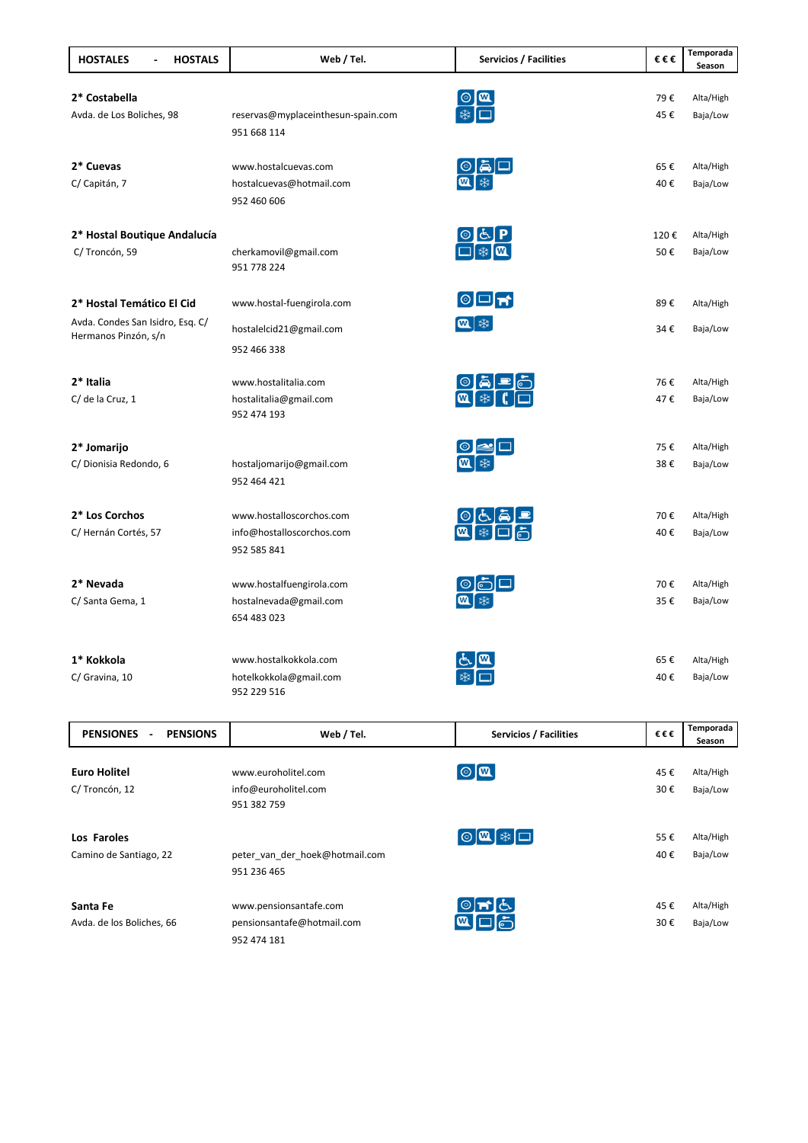| <b>HOSTALES</b><br><b>HOSTALS</b> | Web / Tel.                         | Servicios / Facilities                                                                                                                                                                                                                                                                                                                          | €€€  | Temporada<br>Season |
|-----------------------------------|------------------------------------|-------------------------------------------------------------------------------------------------------------------------------------------------------------------------------------------------------------------------------------------------------------------------------------------------------------------------------------------------|------|---------------------|
| 2* Costabella                     |                                    |                                                                                                                                                                                                                                                                                                                                                 | 79€  | Alta/High           |
| Avda. de Los Boliches, 98         | reservas@myplaceinthesun-spain.com | $\begin{picture}(20,5) \put(0,0){\line(1,0){155}} \put(15,0){\line(1,0){155}} \put(15,0){\line(1,0){155}} \put(15,0){\line(1,0){155}} \put(15,0){\line(1,0){155}} \put(15,0){\line(1,0){155}} \put(15,0){\line(1,0){155}} \put(15,0){\line(1,0){155}} \put(15,0){\line(1,0){155}} \put(15,0){\line(1,0){155}} \put(15,0){\line(1,0){155}} \put$ | 45€  | Baja/Low            |
|                                   | 951 668 114                        |                                                                                                                                                                                                                                                                                                                                                 |      |                     |
| 2* Cuevas                         | www.hostalcuevas.com               | $\begin{array}{c} \circledast \\ \circledast \\ \circledast \end{array}$                                                                                                                                                                                                                                                                        | 65€  | Alta/High           |
| C/ Capitán, 7                     | hostalcuevas@hotmail.com           |                                                                                                                                                                                                                                                                                                                                                 | 40€  | Baja/Low            |
|                                   | 952 460 606                        |                                                                                                                                                                                                                                                                                                                                                 |      |                     |
| 2* Hostal Boutique Andalucía      |                                    | $\begin{array}{ c c } \hline \circ & \circ \\ \hline \Box & \ast \end{array} \begin{array}{ c c } \hline \bullet & \bullet \\ \hline \end{array}$                                                                                                                                                                                               | 120€ | Alta/High           |
| C/Troncón, 59                     | cherkamovil@gmail.com              |                                                                                                                                                                                                                                                                                                                                                 | 50€  | Baja/Low            |
|                                   | 951 778 224                        |                                                                                                                                                                                                                                                                                                                                                 |      |                     |
| 2* Hostal Temático El Cid         | www.hostal-fuengirola.com          | $\circ$ dm                                                                                                                                                                                                                                                                                                                                      | 89€  | Alta/High           |
| Avda. Condes San Isidro, Esq. C/  | hostalelcid21@gmail.com            | $\mathbf{M}$ $\ast$                                                                                                                                                                                                                                                                                                                             | 34€  | Baja/Low            |
| Hermanos Pinzón, s/n              | 952 466 338                        |                                                                                                                                                                                                                                                                                                                                                 |      |                     |
| 2* Italia                         | www.hostalitalia.com               |                                                                                                                                                                                                                                                                                                                                                 | 76€  | Alta/High           |
| C/ de la Cruz, 1                  | hostalitalia@gmail.com             | $\begin{array}{ c c }\hline \circ & \tilde{\bullet} & \equiv\ \hline \textcolor{red}{\bullet} & \textcolor{red}{\circ} & \textcolor{red}{\circ} \end{array}$                                                                                                                                                                                    | 47€  | Baja/Low            |
|                                   | 952 474 193                        |                                                                                                                                                                                                                                                                                                                                                 |      |                     |
| 2* Jomarijo                       |                                    |                                                                                                                                                                                                                                                                                                                                                 | 75€  | Alta/High           |
| C/ Dionisia Redondo, 6            | hostaljomarijo@gmail.com           |                                                                                                                                                                                                                                                                                                                                                 | 38€  | Baja/Low            |
|                                   | 952 464 421                        |                                                                                                                                                                                                                                                                                                                                                 |      |                     |
| 2* Los Corchos                    | www.hostalloscorchos.com           |                                                                                                                                                                                                                                                                                                                                                 | 70€  | Alta/High           |
| C/Hernán Cortés, 57               | info@hostalloscorchos.com          | 第□                                                                                                                                                                                                                                                                                                                                              | 40€  | Baja/Low            |
|                                   | 952 585 841                        |                                                                                                                                                                                                                                                                                                                                                 |      |                     |
| 2* Nevada                         | www.hostalfuengirola.com           |                                                                                                                                                                                                                                                                                                                                                 | 70€  | Alta/High           |
| C/ Santa Gema, 1                  | hostalnevada@gmail.com             |                                                                                                                                                                                                                                                                                                                                                 | 35€  | Baja/Low            |
|                                   | 654 483 023                        |                                                                                                                                                                                                                                                                                                                                                 |      |                     |
| 1* Kokkola                        | www.hostalkokkola.com              |                                                                                                                                                                                                                                                                                                                                                 | 65€  | Alta/High           |
| C/ Gravina, 10                    | hotelkokkola@gmail.com             |                                                                                                                                                                                                                                                                                                                                                 | 40€  | Baja/Low            |
|                                   | 952 229 516                        |                                                                                                                                                                                                                                                                                                                                                 |      |                     |
|                                   |                                    |                                                                                                                                                                                                                                                                                                                                                 |      |                     |

| <b>PENSIONS</b><br><b>PENSIONES</b><br>٠ | Web / Tel.                     | <b>Servicios / Facilities</b> | €€€ | Temporada |
|------------------------------------------|--------------------------------|-------------------------------|-----|-----------|
|                                          |                                |                               |     | Season    |
|                                          |                                |                               |     |           |
| <b>Euro Holitel</b>                      | www.euroholitel.com            | $\boxed{\circledR}$           | 45€ | Alta/High |
| C/Troncón, 12                            | info@euroholitel.com           |                               | 30€ | Baja/Low  |
|                                          | 951 382 759                    |                               |     |           |
|                                          |                                |                               |     |           |
| Los Faroles                              |                                | ◙◙≸◘                          | 55€ | Alta/High |
| Camino de Santiago, 22                   | peter van der hoek@hotmail.com |                               | 40€ | Baja/Low  |
|                                          | 951 236 465                    |                               |     |           |
|                                          |                                |                               |     |           |
| Santa Fe                                 | www.pensionsantafe.com         | $\circ$ m $\circ$             | 45€ | Alta/High |
| Avda. de los Boliches, 66                | pensionsantafe@hotmail.com     | ِ ط∫⊏<br>$\bm{\omega}$        | 30€ | Baja/Low  |
|                                          | 952 474 181                    |                               |     |           |
|                                          |                                |                               |     |           |